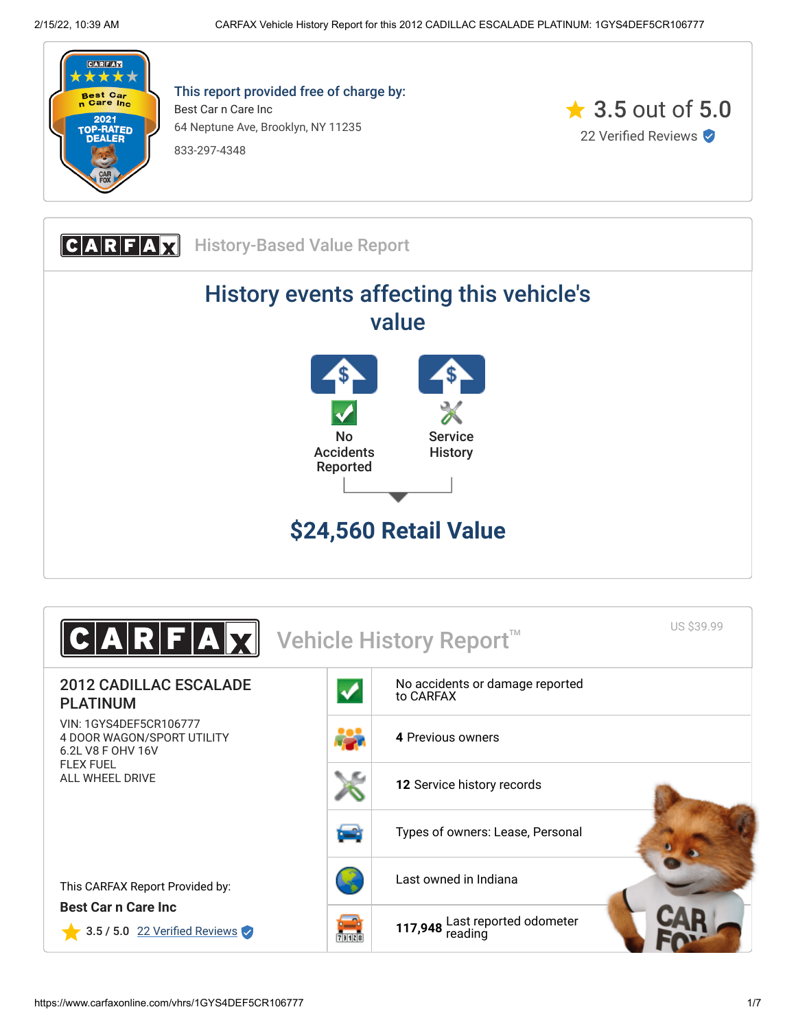

This report provided free of charge by: Best Car n Care Inc 64 Neptune Ave, Brooklyn, NY 11235 833-297-4348



**CARFAX** History-Based Value Report History events affecting this vehicle's value No Accidents Reported **Service History \$24,560 Retail Value**

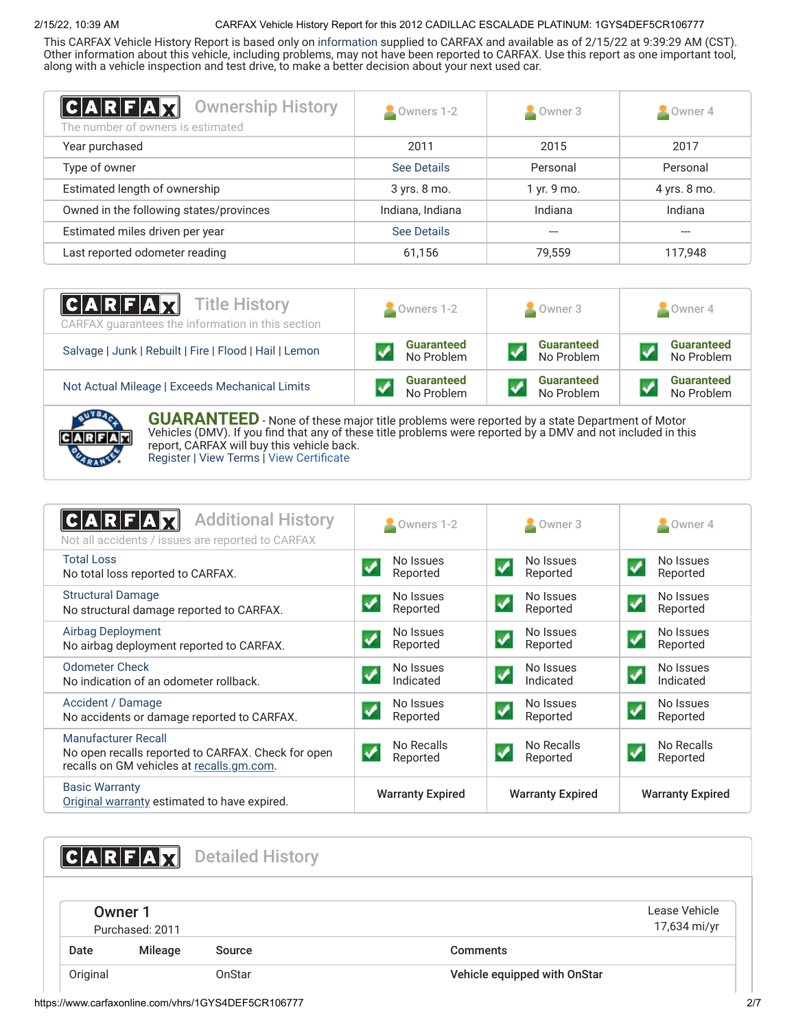# 2/15/22, 10:39 AM CARFAX Vehicle History Report for this 2012 CADILLAC ESCALADE PLATINUM: 1GYS4DEF5CR106777

This CARFAX Vehicle History Report is based only on [information](http://www.carfax.com/company/vhr-data-sources) supplied to CARFAX and available as of 2/15/22 at 9:39:29 AM (CST). Other information about this vehicle, including problems, may not have been reported to CARFAX. Use this report as one important tool, along with a vehicle inspection and test drive, to make a better decision about your next used car.

<span id="page-1-1"></span>

| $ C A R F A \chi $<br><b>Ownership History</b><br>The number of owners is estimated | Owners 1-2       | $\sim$ Owner 3 | $\sim$ Owner 4 |
|-------------------------------------------------------------------------------------|------------------|----------------|----------------|
| Year purchased                                                                      | 2011             | 2015           | 2017           |
| Type of owner                                                                       | See Details      | Personal       | Personal       |
| Estimated length of ownership                                                       | 3 yrs. 8 mo.     | 1 yr. 9 mo.    | 4 yrs. 8 mo.   |
| Owned in the following states/provinces                                             | Indiana, Indiana | Indiana        | Indiana        |
| Estimated miles driven per year                                                     | See Details      |                |                |
| Last reported odometer reading                                                      | 61,156           | 79,559         | 117,948        |

| <b>CARFAX</b> Title History<br>CARFAX quarantees the information in this section | Owners 1-2        | Owner 3           | Owner 4           |
|----------------------------------------------------------------------------------|-------------------|-------------------|-------------------|
| Salvage   Junk   Rebuilt   Fire   Flood   Hail   Lemon                           | <b>Guaranteed</b> | <b>Guaranteed</b> | <b>Guaranteed</b> |
|                                                                                  | No Problem        | No Problem        | No Problem        |
| Not Actual Mileage   Exceeds Mechanical Limits                                   | <b>Guaranteed</b> | <b>Guaranteed</b> | <b>Guaranteed</b> |
|                                                                                  | No Problem        | No Problem        | No Problem        |



**GUARANTEED** - None of these major title problems were reported by a state Department of Motor Vehicles (DMV). If you find that any of these title problems were reported by a DMV and not included in this report, CARFAX will buy this vehicle back. [Register](https://www.carfax.com/Service/bbg) | [View Terms](http://www.carfaxonline.com/legal/bbgTerms) | [View Certificate](https://www.carfaxonline.com/vhrs/1GYS4DEF5CR106777)

<span id="page-1-0"></span>

| <b>Additional History</b><br>$A$ $R$ $F$<br>Not all accidents / issues are reported to CARFAX                          | Owners 1-2                                           | $\triangle$ Owner 3                                 | $\blacksquare$ Owner 4                         |
|------------------------------------------------------------------------------------------------------------------------|------------------------------------------------------|-----------------------------------------------------|------------------------------------------------|
| <b>Total Loss</b><br>No total loss reported to CARFAX.                                                                 | No Issues<br>Reported                                | No Issues<br>$\checkmark$<br>Reported               | No Issues<br>✓<br>Reported                     |
| <b>Structural Damage</b><br>No structural damage reported to CARFAX.                                                   | No Issues<br>$\blacktriangledown$<br>Reported        | No Issues<br>$\blacktriangledown$<br>Reported       | No Issues<br>$\blacktriangledown$<br>Reported  |
| <b>Airbag Deployment</b><br>No airbag deployment reported to CARFAX.                                                   | No Issues<br>$\blacktriangledown$<br>Reported        | No Issues<br>$\blacktriangledown$<br>Reported       | No Issues<br>$\blacklozenge$<br>Reported       |
| <b>Odometer Check</b><br>No indication of an odometer rollback.                                                        | No Issues<br>$\boldsymbol{\mathcal{N}}$<br>Indicated | No Issues<br>✔<br>Indicated                         | No Issues<br>$\boldsymbol{J}$<br>Indicated     |
| Accident / Damage<br>No accidents or damage reported to CARFAX.                                                        | No Issues<br>$\overline{\mathbf{v}}$<br>Reported     | No Issues<br>$\boldsymbol{\mathcal{U}}$<br>Reported | No Issues<br>$\blacktriangledown$<br>Reported  |
| Manufacturer Recall<br>No open recalls reported to CARFAX. Check for open<br>recalls on GM vehicles at recalls.gm.com. | No Recalls<br>✓<br>Reported                          | No Recalls<br>$\boldsymbol{v}$<br>Reported          | No Recalls<br>$\blacktriangledown$<br>Reported |
| <b>Basic Warranty</b><br>Original warranty estimated to have expired.                                                  | <b>Warranty Expired</b>                              | <b>Warranty Expired</b>                             | <b>Warranty Expired</b>                        |

<span id="page-1-3"></span><span id="page-1-2"></span>**CARFAX** Detailed History Owner 1 Purchased: 2011 Lease Vehicle 17,634 mi/yr Date Mileage Source **Comments** Original OnStar Vehicle equipped with OnStar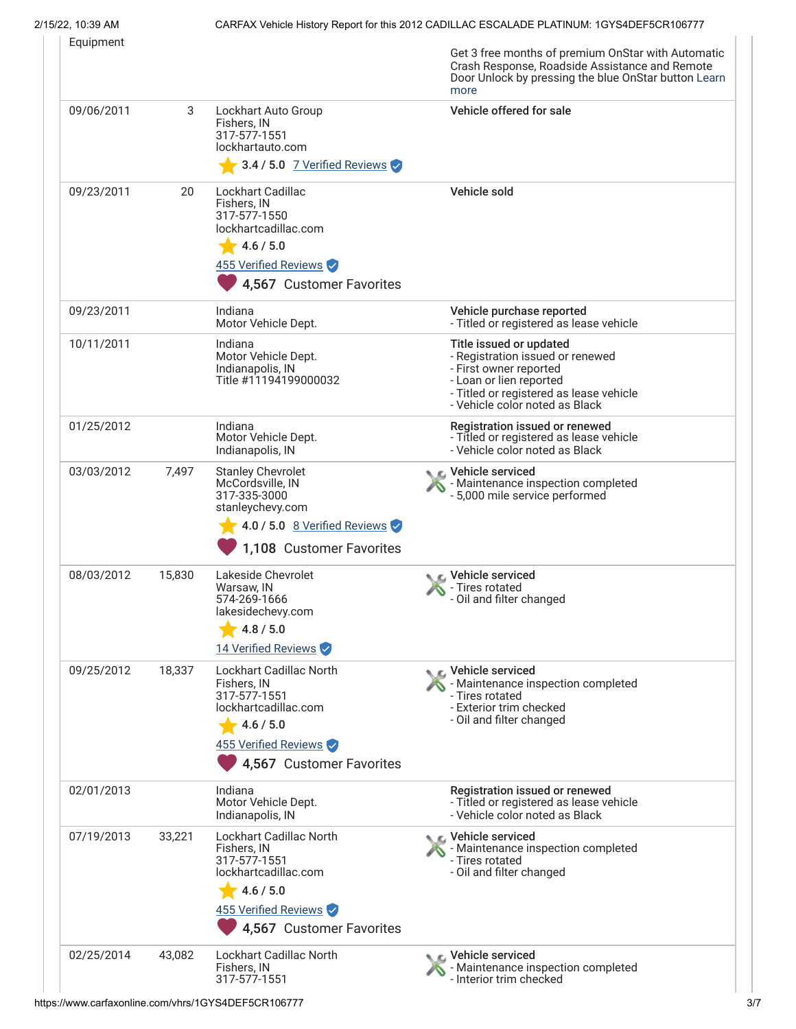# 2/15/22, 10:39 AM CARFAX Vehicle History Report for this 2012 CADILLAC ESCALADE PLATINUM: 1GYS4DEF5CR106777

|            |        |                                                                                                                                                        | Get 3 free months of premium OnStar with Automatic<br>Crash Response, Roadside Assistance and Remote<br>Door Unlock by pressing the blue OnStar button Learn<br>more                          |
|------------|--------|--------------------------------------------------------------------------------------------------------------------------------------------------------|-----------------------------------------------------------------------------------------------------------------------------------------------------------------------------------------------|
| 09/06/2011 | 3      | Lockhart Auto Group<br>Fishers, IN<br>317-577-1551<br>lockhartauto.com<br>3.4 / 5.0 7 Verified Reviews                                                 | Vehicle offered for sale                                                                                                                                                                      |
| 09/23/2011 | 20     | <b>Lockhart Cadillac</b><br>Fishers, IN<br>317-577-1550<br>lockhartcadillac.com<br>4.6 / 5.0<br>455 Verified Reviews<br>4,567 Customer Favorites       | Vehicle sold                                                                                                                                                                                  |
| 09/23/2011 |        | Indiana<br>Motor Vehicle Dept.                                                                                                                         | Vehicle purchase reported<br>- Titled or registered as lease vehicle                                                                                                                          |
| 10/11/2011 |        | Indiana<br>Motor Vehicle Dept.<br>Indianapolis, IN<br>Title #11194199000032                                                                            | Title issued or updated<br>- Registration issued or renewed<br>- First owner reported<br>- Loan or lien reported<br>- Titled or registered as lease vehicle<br>- Vehicle color noted as Black |
| 01/25/2012 |        | Indiana<br>Motor Vehicle Dept.<br>Indianapolis, IN                                                                                                     | Registration issued or renewed<br>- Titled or registered as lease vehicle<br>- Vehicle color noted as Black                                                                                   |
| 03/03/2012 | 7,497  | <b>Stanley Chevrolet</b><br>McCordsville, IN<br>317-335-3000<br>stanleychevy.com<br>$\sqrt{4.0/5.0}$ 8 Verified Reviews<br>1,108 Customer Favorites    | ्⊾ Vehicle serviced<br>- Maintenance inspection completed<br>- 5,000 mile service performed                                                                                                   |
| 08/03/2012 | 15,830 | Lakeside Chevrolet<br>Warsaw, IN<br>574-269-1666<br>lakesidechevy.com<br>4.8 / 5.0<br>14 Verified Reviews                                              | C Vehicle serviced<br>- Tires rotated<br>- Oil and filter changed                                                                                                                             |
| 09/25/2012 | 18,337 | <b>Lockhart Cadillac North</b><br>Fishers, IN<br>317-577-1551<br>lockhartcadillac.com<br>4.6 / 5.0<br>455 Verified Reviews<br>4,567 Customer Favorites | ic⊾ Vehicle serviced<br>- Maintenance inspection completed<br>- Tires rotated<br>- Exterior trim checked<br>- Oil and filter changed                                                          |
| 02/01/2013 |        | Indiana<br>Motor Vehicle Dept.<br>Indianapolis, IN                                                                                                     | Registration issued or renewed<br>- Titled or registered as lease vehicle<br>- Vehicle color noted as Black                                                                                   |
| 07/19/2013 | 33,221 | <b>Lockhart Cadillac North</b><br>Fishers, IN<br>317-577-1551<br>lockhartcadillac.com<br>4.6 / 5.0<br>455 Verified Reviews<br>4,567 Customer Favorites | Vehicle serviced<br>- Maintenance inspection completed<br>- Tires rotated<br>- Oil and filter changed                                                                                         |
| 02/25/2014 | 43,082 | Lockhart Cadillac North<br>Fishers, IN<br>317-577-1551                                                                                                 | C Vehicle serviced<br>- Maintenance inspection completed<br>- Interior trim checked                                                                                                           |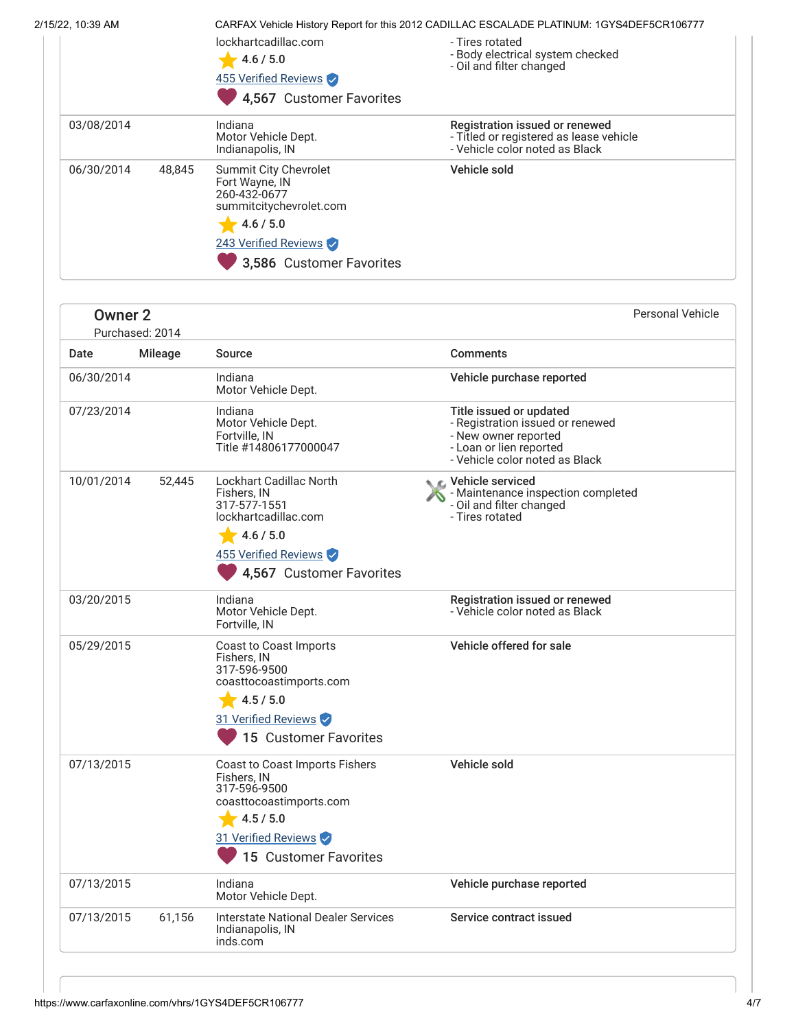| 2/15/22, 10:39 AM<br>CARFAX Vehicle History Report for this 2012 CADILLAC ESCALADE PLATINUM: 1GYS4DEF5CR106777 |            |        |                                                                                                                                                     |                                                                                                             |
|----------------------------------------------------------------------------------------------------------------|------------|--------|-----------------------------------------------------------------------------------------------------------------------------------------------------|-------------------------------------------------------------------------------------------------------------|
|                                                                                                                |            |        | lockhartcadillac.com<br>4.6 / 5.0<br>455 Verified Reviews<br>4,567 Customer Favorites                                                               | - Tires rotated<br>- Body electrical system checked<br>- Oil and filter changed                             |
|                                                                                                                | 03/08/2014 |        | Indiana<br>Motor Vehicle Dept.<br>Indianapolis, IN                                                                                                  | Registration issued or renewed<br>- Titled or registered as lease vehicle<br>- Vehicle color noted as Black |
|                                                                                                                | 06/30/2014 | 48.845 | Summit City Chevrolet<br>Fort Wayne, IN<br>260-432-0677<br>summitcitychevrolet.com<br>4.6 / 5.0<br>243 Verified Reviews<br>3,586 Customer Favorites | Vehicle sold                                                                                                |

| <b>Owner 2</b><br>Purchased: 2014 |                |                                                                                                                                                        | <b>Personal Vehicle</b>                                                                                                                          |  |
|-----------------------------------|----------------|--------------------------------------------------------------------------------------------------------------------------------------------------------|--------------------------------------------------------------------------------------------------------------------------------------------------|--|
| Date                              | <b>Mileage</b> | Source                                                                                                                                                 | <b>Comments</b>                                                                                                                                  |  |
| 06/30/2014                        |                | Indiana<br>Motor Vehicle Dept.                                                                                                                         | Vehicle purchase reported                                                                                                                        |  |
| 07/23/2014                        |                | Indiana<br>Motor Vehicle Dept.<br>Fortville, IN<br>Title #14806177000047                                                                               | Title issued or updated<br>- Registration issued or renewed<br>- New owner reported<br>- Loan or lien reported<br>- Vehicle color noted as Black |  |
| 10/01/2014                        | 52,445         | <b>Lockhart Cadillac North</b><br>Fishers, IN<br>317-577-1551<br>lockhartcadillac.com<br>4.6 / 5.0<br>455 Verified Reviews<br>4,567 Customer Favorites | Vehicle serviced<br>- Maintenance inspection completed<br>- Oil and filter changed<br>- Tires rotated                                            |  |
| 03/20/2015                        |                | Indiana<br>Motor Vehicle Dept.<br>Fortville, IN                                                                                                        | Registration issued or renewed<br>- Vehicle color noted as Black                                                                                 |  |
| 05/29/2015                        |                | Coast to Coast Imports<br>Fishers, IN<br>317-596-9500<br>coasttocoastimports.com<br>4.5 / 5.0<br>31 Verified Reviews<br>15 Customer Favorites          | Vehicle offered for sale                                                                                                                         |  |
| 07/13/2015                        |                | Coast to Coast Imports Fishers<br>Fishers. IN<br>317-596-9500<br>coasttocoastimports.com<br>4.5 / 5.0<br>31 Verified Reviews<br>15 Customer Favorites  | Vehicle sold                                                                                                                                     |  |
| 07/13/2015                        |                | Indiana<br>Motor Vehicle Dept.                                                                                                                         | Vehicle purchase reported                                                                                                                        |  |
| 07/13/2015                        | 61,156         | <b>Interstate National Dealer Services</b><br>Indianapolis, IN<br>inds.com                                                                             | Service contract issued                                                                                                                          |  |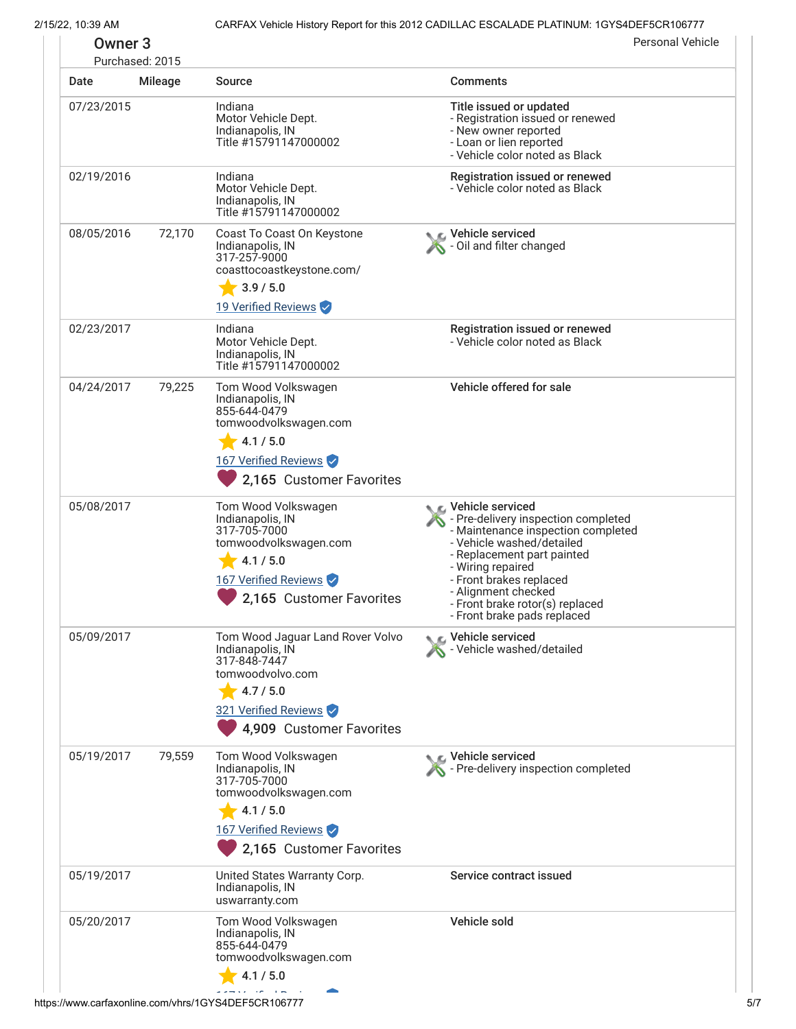2/15/22, 10:39 AM CARFAX Vehicle History Report for this 2012 CADILLAC ESCALADE PLATINUM: 1GYS4DEF5CR106777

|            | Purchased: 2015 |                                                                                                                                                           |                                                                                                                                                                                                                                                                                                     |
|------------|-----------------|-----------------------------------------------------------------------------------------------------------------------------------------------------------|-----------------------------------------------------------------------------------------------------------------------------------------------------------------------------------------------------------------------------------------------------------------------------------------------------|
| Date       | Mileage         | <b>Source</b>                                                                                                                                             | <b>Comments</b>                                                                                                                                                                                                                                                                                     |
| 07/23/2015 |                 | Indiana<br>Motor Vehicle Dept.<br>Indianapolis, IN<br>Title #15791147000002                                                                               | Title issued or updated<br>- Registration issued or renewed<br>- New owner reported<br>- Loan or lien reported<br>- Vehicle color noted as Black                                                                                                                                                    |
| 02/19/2016 |                 | Indiana<br>Motor Vehicle Dept.<br>Indianapolis, IN<br>Title #15791147000002                                                                               | Registration issued or renewed<br>- Vehicle color noted as Black                                                                                                                                                                                                                                    |
| 08/05/2016 | 72,170          | Coast To Coast On Keystone<br>Indianapolis, IN<br>317-257-9000<br>coasttocoastkeystone.com/<br>3.9 / 5.0<br>19 Verified Reviews                           | Vehicle serviced<br>Oil and filter changed                                                                                                                                                                                                                                                          |
| 02/23/2017 |                 | Indiana<br>Motor Vehicle Dept.<br>Indianapolis, IN<br>Title #15791147000002                                                                               | Registration issued or renewed<br>- Vehicle color noted as Black                                                                                                                                                                                                                                    |
| 04/24/2017 | 79,225          | Tom Wood Volkswagen<br>Indianapolis, IN<br>855-644-0479<br>tomwoodvolkswagen.com<br>4.1 / 5.0<br>167 Verified Reviews<br>2,165 Customer Favorites         | Vehicle offered for sale                                                                                                                                                                                                                                                                            |
| 05/08/2017 |                 | Tom Wood Volkswagen<br>Indianapolis, IN<br>317-705-7000<br>tomwoodvolkswagen.com<br>4.1 / 5.0<br>167 Verified Reviews<br>2,165 Customer Favorites         | C Vehicle serviced<br>- Pre-delivery inspection completed<br>- Maintenance inspection completed<br>- Vehicle washed/detailed<br>- Replacement part painted<br>- Wiring repaired<br>- Front brakes replaced<br>- Alignment checked<br>- Front brake rotor(s) replaced<br>- Front brake pads replaced |
| 05/09/2017 |                 | Tom Wood Jaguar Land Rover Volvo<br>Indianapolis, IN<br>317-848-7447<br>tomwoodvolvo.com<br>4.7 / 5.0<br>321 Verified Reviews<br>4,909 Customer Favorites | Vehicle serviced<br>Vehicle washed/detailed                                                                                                                                                                                                                                                         |
| 05/19/2017 | 79,559          | Tom Wood Volkswagen<br>Indianapolis, IN<br>317-705-7000<br>tomwoodvolkswagen.com<br>$-4.1/5.0$<br>167 Verified Reviews<br>2,165 Customer Favorites        | Vehicle serviced<br>- Pre-delivery inspection completed                                                                                                                                                                                                                                             |
| 05/19/2017 |                 | United States Warranty Corp.<br>Indianapolis, IN<br>uswarranty.com                                                                                        | Service contract issued                                                                                                                                                                                                                                                                             |
| 05/20/2017 |                 | Tom Wood Volkswagen<br>Indianapolis, IN<br>855-644-0479<br>tomwoodvolkswagen.com<br>4.1 / 5.0                                                             | Vehicle sold                                                                                                                                                                                                                                                                                        |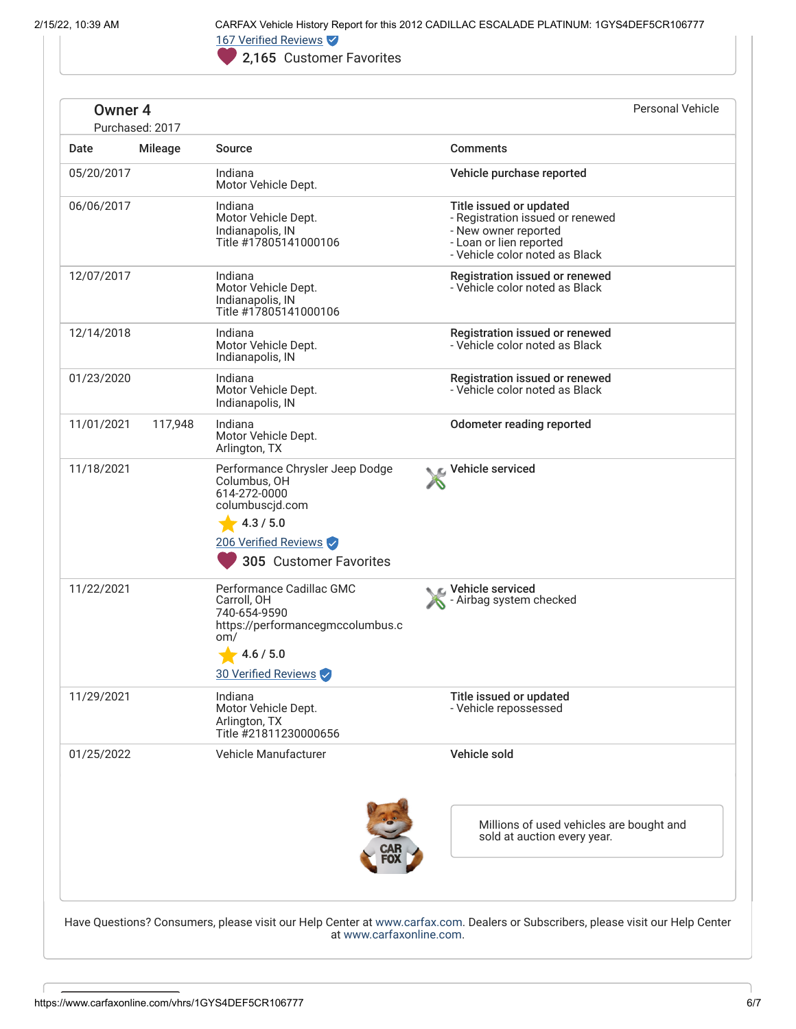2/15/22, 10:39 AM CARFAX Vehicle History Report for this 2012 CADILLAC ESCALADE PLATINUM: 1GYS4DEF5CR106777 167 Verified Reviews

2,165 Customer Favorites

| <b>Comments</b><br>Motor Vehicle Dept.<br>Motor Vehicle Dept.<br>Indianapolis, IN<br>Title #17805141000106<br>Motor Vehicle Dept. | Vehicle purchase reported<br>Title issued or updated<br>- Registration issued or renewed<br>- New owner reported<br>- Loan or lien reported<br>- Vehicle color noted as Black                                                                                                                                                                                                                                                                              |
|-----------------------------------------------------------------------------------------------------------------------------------|------------------------------------------------------------------------------------------------------------------------------------------------------------------------------------------------------------------------------------------------------------------------------------------------------------------------------------------------------------------------------------------------------------------------------------------------------------|
|                                                                                                                                   |                                                                                                                                                                                                                                                                                                                                                                                                                                                            |
|                                                                                                                                   |                                                                                                                                                                                                                                                                                                                                                                                                                                                            |
|                                                                                                                                   |                                                                                                                                                                                                                                                                                                                                                                                                                                                            |
| Indianapolis, IN<br>Title #17805141000106                                                                                         | Registration issued or renewed<br>- Vehicle color noted as Black                                                                                                                                                                                                                                                                                                                                                                                           |
|                                                                                                                                   | Registration issued or renewed<br>- Vehicle color noted as Black                                                                                                                                                                                                                                                                                                                                                                                           |
|                                                                                                                                   | Registration issued or renewed<br>- Vehicle color noted as Black                                                                                                                                                                                                                                                                                                                                                                                           |
|                                                                                                                                   | <b>Odometer reading reported</b>                                                                                                                                                                                                                                                                                                                                                                                                                           |
| C Vehicle serviced                                                                                                                |                                                                                                                                                                                                                                                                                                                                                                                                                                                            |
| C Vehicle serviced                                                                                                                | Airbag system checked                                                                                                                                                                                                                                                                                                                                                                                                                                      |
|                                                                                                                                   | Title issued or updated<br>- Vehicle repossessed                                                                                                                                                                                                                                                                                                                                                                                                           |
| Vehicle sold                                                                                                                      |                                                                                                                                                                                                                                                                                                                                                                                                                                                            |
| Arlington, TX<br>Arlington, TX                                                                                                    | Motor Vehicle Dept.<br>Indianapolis, IN<br>Motor Vehicle Dept.<br>Indianapolis, IN<br>Motor Vehicle Dept.<br>Performance Chrysler Jeep Dodge<br>Columbus, OH<br>614-272-0000<br>columbuscjd.com<br>4.3 / 5.0<br>206 Verified Reviews<br>305 Customer Favorites<br>Performance Cadillac GMC<br>740-654-9590<br>https://performancegmccolumbus.c<br>4.6 / 5.0<br>30 Verified Reviews<br>Motor Vehicle Dept.<br>Title #21811230000656<br>Vehicle Manufacturer |